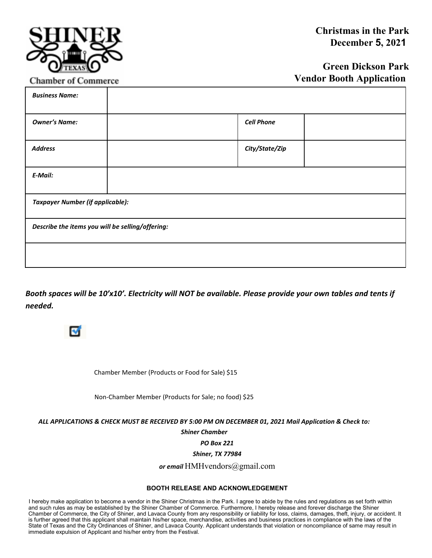

**Chamber of Commerce** 

## **Green Dickson Park Vendor Booth Application**

| <b>Business Name:</b>                            |  |                   |
|--------------------------------------------------|--|-------------------|
| <b>Owner's Name:</b>                             |  | <b>Cell Phone</b> |
| <b>Address</b>                                   |  | City/State/Zip    |
| E-Mail:                                          |  |                   |
| <b>Taxpayer Number (if applicable):</b>          |  |                   |
| Describe the items you will be selling/offering: |  |                   |
|                                                  |  |                   |

*Booth spaces will be 10'x10'. Electricity will NOT be available. Please provide your own tables and tents if needed.* 



Chamber Member (Products or Food for Sale) \$15

Non-Chamber Member (Products for Sale; no food) \$25

*ALL APPLICATIONS & CHECK MUST BE RECEIVED BY 5:00 PM ON DECEMBER 01, 2021 Mail Application & Check to:* 

*Shiner Chamber* 

*PO Box 221* 

*Shiner, TX 77984* 

*or email* HMHvendors@gmail.com

## **BOOTH RELEASE AND ACKNOWLEDGEMENT**

I hereby make application to become a vendor in the Shiner Christmas in the Park. I agree to abide by the rules and regulations as set forth within and such rules as may be established by the Shiner Chamber of Commerce. Furthermore, I hereby release and forever discharge the Shiner Chamber of Commerce, the City of Shiner, and Lavaca County from any responsibility or liability for loss, claims, damages, theft, injury, or accident. It is further agreed that this applicant shall maintain his/her space, merchandise, activities and business practices in compliance with the laws of the State of Texas and the City Ordinances of Shiner, and Lavaca County. Applicant understands that violation or noncompliance of same may result in immediate expulsion of Applicant and his/her entry from the Festival.